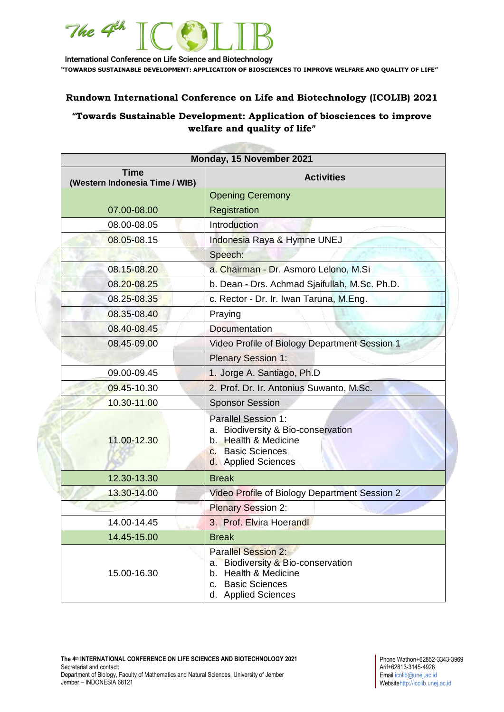

International Conference on Life Science and Biotechnology **"TOWARDS SUSTAINABLE DEVELOPMENT: APPLICATION OF BIOSCIENCES TO IMPROVE WELFARE AND QUALITY OF LIFE"**

## **Rundown International Conference on Life and Biotechnology (ICOLIB) 2021**

## **"Towards Sustainable Development: Application of biosciences to improve welfare and quality of life"**

**CONTRACTOR** 

| Monday, 15 November 2021                      |                                                                                                                                                |
|-----------------------------------------------|------------------------------------------------------------------------------------------------------------------------------------------------|
| <b>Time</b><br>(Western Indonesia Time / WIB) | <b>Activities</b>                                                                                                                              |
|                                               | <b>Opening Ceremony</b>                                                                                                                        |
| 07.00-08.00                                   | Registration                                                                                                                                   |
| 08.00-08.05                                   | Introduction                                                                                                                                   |
| 08.05-08.15                                   | Indonesia Raya & Hymne UNEJ                                                                                                                    |
|                                               | Speech:                                                                                                                                        |
| 08.15-08.20                                   | a. Chairman - Dr. Asmoro Lelono, M.Si                                                                                                          |
| 08.20-08.25                                   | b. Dean - Drs. Achmad Sjaifullah, M.Sc. Ph.D.                                                                                                  |
| 08.25-08.35                                   | c. Rector - Dr. Ir. Iwan Taruna, M.Eng.                                                                                                        |
| 08.35-08.40                                   | Praying                                                                                                                                        |
| 08.40-08.45                                   | <b>Documentation</b>                                                                                                                           |
| 08.45-09.00                                   | Video Profile of Biology Department Session 1                                                                                                  |
|                                               | <b>Plenary Session 1:</b>                                                                                                                      |
| 09.00-09.45                                   | 1. Jorge A. Santiago, Ph.D                                                                                                                     |
| 09.45-10.30                                   | 2. Prof. Dr. Ir. Antonius Suwanto, M.Sc.                                                                                                       |
| 10.30-11.00                                   | <b>Sponsor Session</b>                                                                                                                         |
| 11.00-12.30                                   | Parallel Session 1:<br>a. Biodiversity & Bio-conservation<br>b. Health & Medicine<br>c. Basic Sciences<br>d. Applied Sciences                  |
| 12.30-13.30                                   | <b>Break</b>                                                                                                                                   |
| 13.30-14.00                                   | Video Profile of Biology Department Session 2                                                                                                  |
|                                               | <b>Plenary Session 2:</b>                                                                                                                      |
| 14.00-14.45                                   | 3. Prof. Elvira Hoerandl                                                                                                                       |
| 14.45-15.00                                   | <b>Break</b>                                                                                                                                   |
| 15.00-16.30                                   | <b>Parallel Session 2:</b><br>a. Biodiversity & Bio-conservation<br>b. Health & Medicine<br><b>Basic Sciences</b><br>C.<br>d. Applied Sciences |